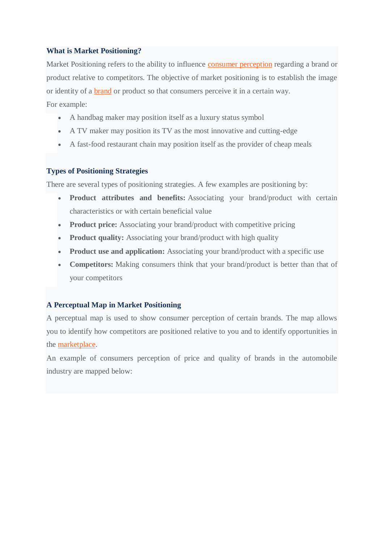# **What is Market Positioning?**

Market Positioning refers to the ability to influence [consumer perception](https://corporatefinanceinstitute.com/resources/knowledge/strategy/competitive-advantage/) regarding a brand or product relative to competitors. The objective of market positioning is to establish the image or identity of a [brand](https://corporatefinanceinstitute.com/resources/careers/soft-skills/managing-personal-brand/) or product so that consumers perceive it in a certain way.

For example:

- A handbag maker may position itself as a luxury status symbol
- A TV maker may position its TV as the most innovative and cutting-edge
- A fast-food restaurant chain may position itself as the provider of cheap meals

### **Types of Positioning Strategies**

There are several types of positioning strategies. A few examples are positioning by:

- **Product attributes and benefits:** Associating your brand/product with certain characteristics or with certain beneficial value
- **Product price:** Associating your brand/product with competitive pricing
- **Product quality:** Associating your brand/product with high quality
- **Product use and application:** Associating your brand/product with a specific use
- **Competitors:** Making consumers think that your brand/product is better than that of your competitors

# **A Perceptual Map in Market Positioning**

A perceptual map is used to show consumer perception of certain brands. The map allows you to identify how competitors are positioned relative to you and to identify opportunities in the [marketplace.](https://corporatefinanceinstitute.com/resources/knowledge/economics/definition-market-economy/)

An example of consumers perception of price and quality of brands in the automobile industry are mapped below: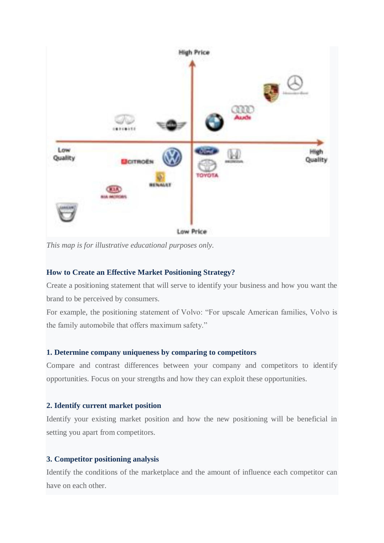

*This map is for illustrative educational purposes only.*

# **How to Create an Effective Market Positioning Strategy?**

Create a positioning statement that will serve to identify your business and how you want the brand to be perceived by consumers.

For example, the positioning statement of Volvo: "For upscale American families, Volvo is the family automobile that offers maximum safety."

### **1. Determine company uniqueness by comparing to competitors**

Compare and contrast differences between your company and competitors to identify opportunities. Focus on your strengths and how they can exploit these opportunities.

#### **2. Identify current market position**

Identify your existing market position and how the new positioning will be beneficial in setting you apart from competitors.

### **3. Competitor positioning analysis**

Identify the conditions of the marketplace and the amount of influence each competitor can have on each other.